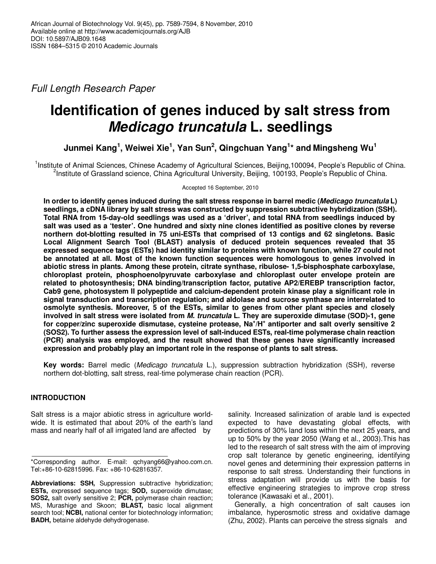Full Length Research Paper

# **Identification of genes induced by salt stress from Medicago truncatula L. seedlings**

**Junmei Kang<sup>1</sup> , Weiwei Xie<sup>1</sup> , Yan Sun<sup>2</sup> , Qingchuan Yang<sup>1</sup> \* and Mingsheng Wu<sup>1</sup>**

<sup>1</sup>Institute of Animal Sciences, Chinese Academy of Agricultural Sciences, Beijing,100094, People's Republic of China. <sup>2</sup>Institute of Grassland science, China Agricultural University, Beijing, 100193, People's Republic of China.

Accepted 16 September, 2010

**In order to identify genes induced during the salt stress response in barrel medic (Medicago truncatula L) seedlings, a cDNA library by salt stress was constructed by suppression subtractive hybridization (SSH). Total RNA from 15-day-old seedlings was used as a 'driver', and total RNA from seedlings induced by salt was used as a 'tester'. One hundred and sixty nine clones identified as positive clones by reverse northern dot-blotting resulted in 75 uni-ESTs that comprised of 13 contigs and 62 singletons. Basic Local Alignment Search Tool (BLAST) analysis of deduced protein sequences revealed that 35 expressed sequence tags (ESTs) had identity similar to proteins with known function, while 27 could not be annotated at all. Most of the known function sequences were homologous to genes involved in abiotic stress in plants. Among these protein, citrate synthase, ribulose- 1,5-bisphosphate carboxylase, chloroplast protein, phosphoenolpyruvate carboxylase and chloroplast outer envelope protein are related to photosynthesis; DNA binding/transcription factor, putative AP2/EREBP transcription factor, Cab9 gene, photosystem II polypeptide and calcium-dependent protein kinase play a significant role in signal transduction and transcription regulation; and aldolase and sucrose synthase are interrelated to osmolyte synthesis. Moreover, 5 of the ESTs, similar to genes from other plant species and closely involved in salt stress were isolated from M. truncatula L. They are superoxide dimutase (SOD)-1, gene for copper/zinc superoxide dismutase, cysteine protease, Na<sup>+</sup> /H<sup>+</sup> antiporter and salt overly sensitive 2 (SOS2). To further assess the expression level of salt-induced ESTs, real-time polymerase chain reaction (PCR) analysis was employed, and the result showed that these genes have significantly increased expression and probably play an important role in the response of plants to salt stress.** 

**Key words:** Barrel medic (Medicago truncatula L.), suppression subtraction hybridization (SSH), reverse northern dot-blotting, salt stress, real-time polymerase chain reaction (PCR).

## **INTRODUCTION**

Salt stress is a major abiotic stress in agriculture worldwide. It is estimated that about 20% of the earth's land mass and nearly half of all irrigated land are affected by

salinity. Increased salinization of arable land is expected expected to have devastating global effects, with predictions of 30% land loss within the next 25 years, and up to 50% by the year 2050 (Wang et al., 2003).This has led to the research of salt stress with the aim of improving crop salt tolerance by genetic engineering, identifying novel genes and determining their expression patterns in response to salt stress. Understanding their functions in stress adaptation will provide us with the basis for effective engineering strategies to improve crop stress tolerance (Kawasaki et al., 2001).

Generally, a high concentration of salt causes ion imbalance, hyperosmotic stress and oxidative damage (Zhu, 2002). Plants can perceive the stress signals and

<sup>\*</sup>Corresponding author. E-mail: qchyang66@yahoo.com.cn. Tel:+86-10-62815996. Fax: +86-10-62816357.

Abbreviations: SSH, Suppression subtractive hybridization: **ESTs,** expressed sequence tags; **SOD,** superoxide dimutase; **SOS2,** salt overly sensitive 2; **PCR,** polymerase chain reaction; MS, Murashige and Skoon; **BLAST,** basic local alignment search tool; **NCBI,** national center for biotechnology information; **BADH,** betaine aldehyde dehydrogenase.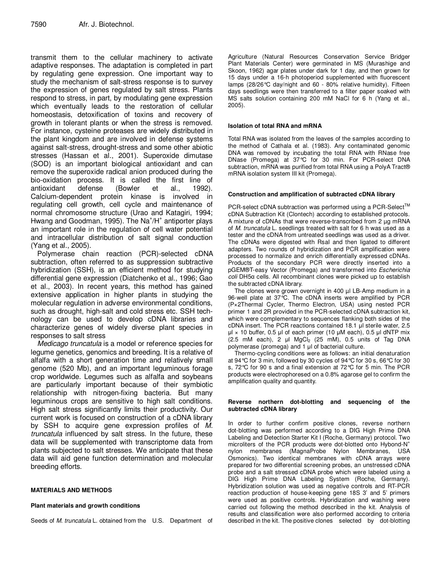transmit them to the cellular machinery to activate adaptive responses. The adaptation is completed in part by regulating gene expression. One important way to study the mechanism of salt-stress response is to survey the expression of genes regulated by salt stress. Plants respond to stress, in part, by modulating gene expression which eventually leads to the restoration of cellular homeostasis, detoxification of toxins and recovery of growth in tolerant plants or when the stress is removed. For instance, cysteine proteases are widely distributed in the plant kingdom and are involved in defense systems against salt-stress, drought-stress and some other abiotic stresses (Hassan et al., 2001). Superoxide dimutase (SOD) is an important biological antioxidant and can remove the superoxide radical anion produced during the bio-oxidation process. It is called the first line of antioxidant defense (Bowler et al., 1992). Calcium-dependent protein kinase is involved in regulating cell growth, cell cycle and maintenance of normal chromosome structure (Urao and Katagiri, 1994; Hwang and Goodman, 1995). The Na<sup>+</sup>/H<sup>+</sup> antiporter plays an important role in the regulation of cell water potential and intracellular distribution of salt signal conduction (Yang et al., 2005).

Polymerase chain reaction (PCR)-selected cDNA subtraction, often referred to as suppression subtractive hybridization (SSH), is an efficient method for studying differential gene expression (Diatchenko et al., 1996; Gao et al., 2003). In recent years, this method has gained extensive application in higher plants in studying the molecular regulation in adverse environmental conditions, such as drought, high-salt and cold stress etc. SSH technology can be used to develop cDNA libraries and characterize genes of widely diverse plant species in responses to salt stress

Medicago truncatula is a model or reference species for legume genetics, genomics and breeding. It is a relative of alfalfa with a short generation time and relatively small genome (520 Mb), and an important leguminous forage crop worldwide. Legumes such as alfalfa and soybeans are particularly important because of their symbiotic relationship with nitrogen-fixing bacteria. But many leguminous crops are sensitive to high salt conditions. High salt stress significantly limits their productivity. Our current work is focused on construction of a cDNA library by SSH to acquire gene expression profiles of M. truncatula influenced by salt stress. In the future, these data will be supplemented with transcriptome data from plants subjected to salt stresses. We anticipate that these data will aid gene function determination and molecular breeding efforts.

## **MATERIALS AND METHODS**

#### **Plant materials and growth conditions**

Seeds of *M. truncatula* L. obtained from the U.S. Department of

Agriculture (Natural Resources Conservation Service Bridger Plant Materials Center) were germinated in MS (Murashige and Skoon, 1962) agar plates under dark for 1 day, and then grown for 15 days under a 16-h photoperiod supplemented with fluorescent lamps (28/26°C day/night and 60 - 80% relative humidity). Fifteen days seedlings were then transferred to a filter paper soaked with MS salts solution containing 200 mM NaCl for 6 h (Yang et al., 2005).

#### **Isolation of total RNA and mRNA**

Total RNA was isolated from the leaves of the samples according to the method of Cathala et al. (1983). Any contaminated genomic DNA was removed by incubating the total RNA with RNase free DNase (Promega) at 37°C for 30 min. For PCR-select DNA subtraction, mRNA was purified from total RNA using a PolyA Tract® mRNA isolation system III kit (Promega).

#### **Construction and amplification of subtracted cDNA library**

PCR-select cDNA subtraction was performed using a PCR-Select<sup>TM</sup> cDNA Subtraction Kit (Clontech) according to established protocols. A mixture of cDNAs that were reverse-transcribed from 2 µg mRNA of M. truncatula L. seedlings treated with salt for 6 h was used as a tester and the cDNA from untreated seedlings was used as a driver. The cDNAs were digested with Rsal and then ligated to different adapters. Two rounds of hybridization and PCR amplification were processed to normalize and enrich differentially expressed cDNAs. Products of the secondary PCR were directly inserted into a pGEM®T-easy Vector (Promega) and transformed into Escherichia coli DH5α cells. All recombinant clones were picked up to establish the subtracted cDNA library.

The clones were grown overnight in 400 µl LB-Amp medium in a 96-well plate at 37°C. The cDNA inserts were amplified by PCR (P×2Thermal Cycler, Thermo Electron, USA) using nested PCR primer 1 and 2R provided in the PCR-selected cDNA subtraction kit, which were complementary to sequences flanking both sides of the cDNA insert. The PCR reactions contained 18.1 µl sterile water, 2.5  $\mu$  × 10 buffer, 0.5  $\mu$  of each primer (10  $\mu$ M each), 0.5  $\mu$  dNTP mix  $(2.5$  mM each), 2  $\mu$ l MgCl<sub>2</sub> (25 mM), 0.5 units of Tag DNA polymerase (promega) and 1 µl of bacterial culture.

Thermo-cycling conditions were as follows: an initial denaturation at 94°C for 3 min, followed by 30 cycles of 94°C for 30 s, 66°C for 30 s, 72°C for 90 s and a final extension at 72°C for 5 min. The PCR products were electrophoresed on a 0.8% agarose gel to confirm the amplification quality and quantity.

#### **Reverse northern dot-blotting and sequencing of the subtracted cDNA library**

In order to further confirm positive clones, reverse northern dot-blotting was performed according to a DIG High Prime DNA Labeling and Detection Starter Kit I (Roche, Germany) protocol. Two microliters of the PCR products were dot-blotted onto Hybond-N<sup>+</sup> nylon membranes (MagnaProbe Nylon Membranes, USA Osmonics). Two identical membranes with cDNA arrays were prepared for two differential screening probes, an unstressed cDNA probe and a salt stressed cDNA probe which were labeled using a DIG High Prime DNA Labeling System (Roche, Germany). Hybridization solution was used as negative controls and RT-PCR reaction production of house-keeping gene 18S 3' and 5' primers were used as positive controls. Hybridization and washing were carried out following the method described in the kit. Analysis of results and classification were also performed according to criteria described in the kit. The positive clones selected by dot-blotting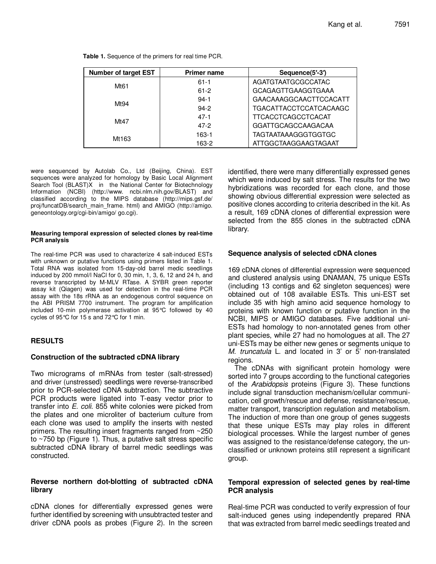| <b>Number of target EST</b> | <b>Primer name</b> | Sequence(5'-3')               |
|-----------------------------|--------------------|-------------------------------|
| Mt61                        | $61 - 1$           | AGATGTAATGCGCCATAC            |
|                             | $61 - 2$           | <b>GCAGAGTTGAAGGTGAAA</b>     |
| Mt94                        | $94-1$             | GAACAAAGGCAACTTCCACATT        |
|                             | $94-2$             | <b>TGACATTACCTCCATCACAAGC</b> |
| Mt47                        | $47 - 1$           | <b>TTCACCTCAGCCTCACAT</b>     |
|                             | $47-2$             | <b>GGATTGCAGCCAAGACAA</b>     |
| Mt163                       | $163-1$            | <b>TAGTAATAAAGGGTGGTGC</b>    |
|                             | 163-2              | <b>ATTGGCTAAGGAAGTAGAAT</b>   |

**Table 1.** Sequence of the primers for real time PCR.

were sequenced by Autolab Co., Ltd (Beijing, China). EST sequences were analyzed for homology by Basic Local Alignment Search Tool (BLAST)X in the National Center for Biotechnology Information (NCBI) (http://www. ncbi.nlm.nih.gov/BLAST) and classified according to the MIPS database (http://mips.gsf.de/ proj/funcatDB/search\_main\_frame. html) and AMIGO (http://amigo. geneontology.org/cgi-bin/amigo/ go.cgi).

#### **Measuring temporal expression of selected clones by real-time PCR analysis**

The real-time PCR was used to characterize 4 salt-induced ESTs with unknown or putative functions using primers listed in Table 1. Total RNA was isolated from 15-day-old barrel medic seedlings induced by 200 mmol/l NaCl for 0, 30 min, 1, 3, 6, 12 and 24 h, and reverse transcripted by M-MLV RTase. A SYBR green reporter assay kit (Qiagen) was used for detection in the real-time PCR assay with the 18s rRNA as an endogenous control sequence on the ABI PRISM 7700 instrument. The program for amplification included 10-min polymerase activation at 95°C followed by 40 cycles of 95°C for 15 s and 72°C for 1 min.

## **RESULTS**

#### **Construction of the subtracted cDNA library**

Two micrograms of mRNAs from tester (salt-stressed) and driver (unstressed) seedlings were reverse-transcribed prior to PCR-selected cDNA subtraction. The subtractive PCR products were ligated into T-easy vector prior to transfer into E. coli. 855 white colonies were picked from the plates and one microliter of bacterium culture from each clone was used to amplify the inserts with nested primers. The resulting insert fragments ranged from ~250 to ~750 bp (Figure 1). Thus, a putative salt stress specific subtracted cDNA library of barrel medic seedlings was constructed.

#### **Reverse northern dot-blotting of subtracted cDNA library**

cDNA clones for differentially expressed genes were further identified by screening with unsubtracted tester and driver cDNA pools as probes (Figure 2). In the screen

identified, there were many differentially expressed genes which were induced by salt stress. The results for the two hybridizations was recorded for each clone, and those showing obvious differential expression were selected as positive clones according to criteria described in the kit. As a result, 169 cDNA clones of differential expression were selected from the 855 clones in the subtracted cDNA library.

#### **Sequence analysis of selected cDNA clones**

169 cDNA clones of differential expression were sequenced and clustered analysis using DNAMAN, 75 unique ESTs (including 13 contigs and 62 singleton sequences) were obtained out of 108 available ESTs. This uni-EST set include 35 with high amino acid sequence homology to proteins with known function or putative function in the NCBI, MIPS or AMIGO databases. Five additional uni-ESTs had homology to non-annotated genes from other plant species, while 27 had no homologues at all. The 27 uni-ESTs may be either new genes or segments unique to M. truncatula L. and located in 3' or 5' non-translated regions.

The cDNAs with significant protein homology were sorted into 7 groups according to the functional categories of the Arabidopsis proteins (Figure 3). These functions include signal transduction mechanism/cellular communication, cell growth/rescue and defense, resistance/rescue, matter transport, transcription regulation and metabolism. The induction of more than one group of genes suggests that these unique ESTs may play roles in different biological processes. While the largest number of genes was assigned to the resistance/defense category, the unclassified or unknown proteins still represent a significant group.

#### **Temporal expression of selected genes by real-time PCR analysis**

Real-time PCR was conducted to verify expression of four salt-induced genes using independently prepared RNA that was extracted from barrel medic seedlings treated and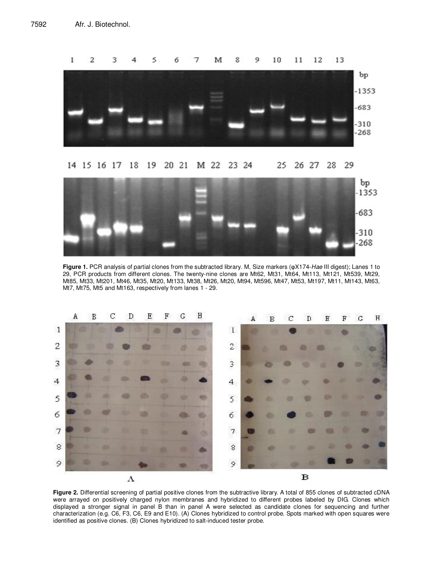



**Figure 1.** PCR analysis of partial clones from the subtracted library. M, Size markers (φX174-Hae III digest); Lanes 1 to 29, PCR products from different clones. The twenty-nine clones are Mt62, Mt31, Mt64, Mt113, Mt121, Mt539, Mt29, Mt85, Mt33, Mt201, Mt46, Mt35, Mt20, Mt133, Mt38, Mt26, Mt20, Mt94, Mt596, Mt47, Mt53, Mt197, Mt11, Mt143, Mt63, Mt7, Mt75, Mt5 and Mt163, respectively from lanes 1 - 29.



Figure 2. Differential screening of partial positive clones from the subtractive library. A total of 855 clones of subtracted cDNA were arrayed on positively charged nylon membranes and hybridized to different probes labeled by DIG. Clones which displayed a stronger signal in panel B than in panel A were selected as candidate clones for sequencing and further characterization (e.g. C6, F3, C6, E9 and E10). (A) Clones hybridized to control probe. Spots marked with open squares were identified as positive clones. (B) Clones hybridized to salt-induced tester probe.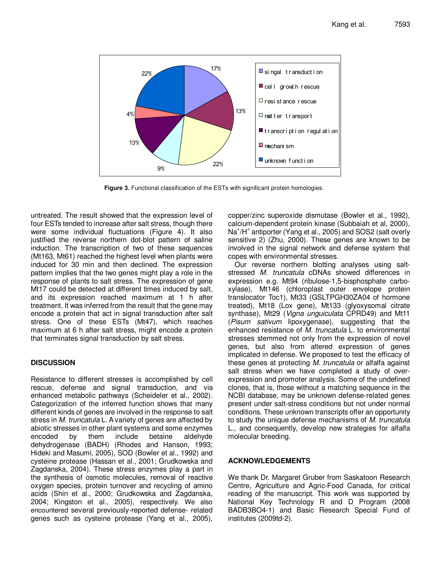

**Figure 3.** Functional classification of the ESTs with significant protein homologies.

untreated. The result showed that the expression level of four ESTs tended to increase after salt stress, though there were some individual fluctuations (Figure 4). It also justified the reverse northern dot-blot pattern of saline induction. The transcription of two of these sequences (Mt163, Mt61) reached the highest level when plants were induced for 30 min and then declined. The expression pattern implies that the two genes might play a role in the response of plants to salt stress. The expression of gene Mt17 could be detected at different times induced by salt, and its expression reached maximum at 1 h after treatment. It was inferred from the result that the gene may encode a protein that act in signal transduction after salt stress. One of these ESTs (Mt47), which reaches maximum at 6 h after salt stress, might encode a protein that terminates signal transduction by salt stress.

## **DISCUSSION**

Resistance to different stresses is accomplished by cell rescue, defense and signal transduction, and via enhanced metabolic pathways (Scheideler et al., 2002). Categorization of the inferred function shows that many different kinds of genes are involved in the response to salt stress in M. truncatula L. A variety of genes are affected by abiotic stresses in other plant systems and some enzymes encoded by them include betaine aldehyde dehydrogenase (BADH) (Rhodes and Hanson, 1993; Hideki and Masumi, 2005), SOD (Bowler et al., 1992) and cysteine protease (Hassan et al., 2001; Grudkowska and Zagdanska, 2004). These stress enzymes play a part in the synthesis of osmotic molecules, removal of reactive oxygen species, protein turnover and recycling of amino acids (Shin et al., 2000; Grudkowska and Zagdanska, 2004; Kingston et al., 2005), respectively. We also encountered several previously-reported defense- related genes such as cysteine protease (Yang et al., 2005),

copper/zinc superoxide dismutase (Bowler et al., 1992), calcium-dependent protein kinase (Subbaiah et al, 2000), Na<sup>+</sup>/H<sup>+</sup> antiporter (Yang et al., 2005) and SOS2 (salt overly sensitive 2) (Zhu, 2000). These genes are known to be involved in the signal network and defense system that copes with environmental stresses.

Our reverse northern blotting analyses using saltstressed M. truncatula cDNAs showed differences in expression e.g. Mt94 (ribulose-1,5-bisphosphate carboxylase), Mt146 (chloroplast outer envelope protein translocator Toc1), Mt33 (GSLTPGH30ZA04 of hormone treated), Mt18 (Lox gene), Mt133 (glyoxysomal citrate synthase), Mt29 (*Vigna unguiculata* CPRD49) and Mt11 (Pisum sativum lipoxygenase), suggesting that the enhanced resistance of M. truncatula L. to environmental stresses stemmed not only from the expression of novel genes, but also from altered expression of genes implicated in defense. We proposed to test the efficacy of these genes at protecting M. truncatula or alfalfa against salt stress when we have completed a study of overexpression and promoter analysis. Some of the undefined clones, that is, those without a matching sequence in the NCBI database, may be unknown defense-related genes present under salt-stress conditions but not under normal conditions. These unknown transcripts offer an opportunity to study the unique defense mechanisms of M. truncatula L., and consequently, develop new strategies for alfalfa molecular breeding.

## **ACKNOWLEDGEMENTS**

We thank Dr. Margaret Gruber from Saskatoon Research Centre, Agriculture and Agric-Food Canada, for critical reading of the manuscript. This work was supported by National Key Technology R and D Program (2008 BADB3BO4-1) and Basic Research Special Fund of institutes (2009td-2).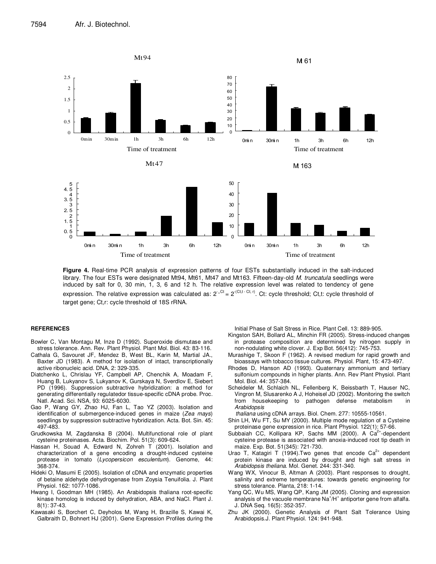

**Figure 4.** Real-time PCR analysis of expression patterns of four ESTs substantially induced in the salt-induced library. The four ESTs were designated Mt94, Mt61, Mt47 and Mt163. Fifteen-day-old M. truncatula seedlings were induced by salt for 0, 30 min, 1, 3, 6 and 12 h. The relative expression level was related to tendency of gene expression. The relative expression was calculated as:  $2^{·^{\text{Cl}}}=2^{·^{\text{Cl}(t-Cl,t)}}$ . Ct: cycle threshold; Ct,t: cycle threshold of target gene; Ct,r: cycle threshold of 18S rRNA.

#### **REFERENCES**

- Bowler C, Van Montagu M, Inze D (1992). Superoxide dismutase and stress tolerance. Ann. Rev. Plant Physiol. Plant Mol. Biol. 43: 83-116.
- Cathala G, Savouret JF, Mendez B, West BL, Karin M, Martial JA., Baxter JD (1983). A method for isolation of intact, transcriptionally active ribonucleic acid. DNA, 2: 329-335.
- Diatchenko L, Chrislau YF, Campbell AP, Chenchik A, Moadam F, Huang B, Lukyanov S, Lukyanov K, Gurskaya N, Sverdlov E, Siebert PD (1996). Suppression subtractive hybridization: a method for generating differentially regulatedor tissue-specific cDNA probe. Proc. Natl. Acad. Sci. NSA, 93: 6025-6030.
- Gao P, Wang GY, Zhao HJ, Fan L, Tao YZ (2003). Isolation and identification of submergence-induced genes in maize (Zea mays) seedlings by suppression subtractive hybridization. Acta. Bot. Sin. 45: 497-483.
- Grudkowska M, Zagdanska B (2004). Multifunctional role of plant cysteine proteinases. Acta. Biochim. Pol. 51(3): 609-624.
- Hassan H, Souad A, Edward N, Zohreh T (2001). Isolation and characterization of a gene encoding a drought-induced cysteine protease in tomato (Lycopersicon esculentum). Genome, 44: 368-374.
- Hideki O, Masumi E (2005). Isolation of cDNA and enzymatic properties of betaine aldehyde dehydrogenase from Zoysia Tenuifolia. J. Plant Physiol. 162: 1077-1086.
- Hwang I, Goodman MH (1985). An Arabidopsis thaliana root-specific kinase homolog is induced by dehydration, ABA, and NaCl. Plant J. 8(1): 37-43.
- Kawasaki S, Borchert C, Deyholos M, Wang H, Brazille S, Kawai K, Galbraith D, Bohnert HJ (2001). Gene Expression Profiles during the

Initial Phase of Salt Stress in Rice. Plant Cell. 13: 889-905.

- Kingston SAH, Bollard AL, Minchin FR (2005). Stress-induced changes in protease composition are determined by nitrogen supply in non-nodulating white clover. J. Exp Bot. 56(412): 745-753.
- Murashige T, Skoon F (1962). A revised medium for rapid growth and bioassays with tobacco tissue cultures. Physiol. Plant, 15: 473-497.
- Rhodes D, Hanson AD (1993). Quaternary ammonium and tertiary sulfonium compounds in higher plants. Ann. Rev Plant Physiol. Plant Mol. Biol. 44: 357-384.
- Scheideler M, Schlaich NL, Fellenberg K, Beissbarth T, Hauser NC, Vingron M, Slusarenko A J, Hoheisel JD (2002). Monitoring the switch from housekeeping to pathogen defense metabolism in **Arabidopsis**

thaliana using cDNA arrays. Biol. Chem. 277: 10555-10561.

- Shin LH, Wu FT, Su MY (2000). Multiple mode regulation of a Cysteine proteinase gene expression in rice. Plant Physiol. 122(1): 57-66.
- Subbaiah CC, Kollipara KP, Sachs MM (2000). A Ca<sup>2+</sup>-dependent cysteine protease is associated with anoxia-induced root tip death in maize. Exp. Bot. 51(345): 721-730.
- Urao T, Katagiri T (1994). Two genes that encode  $Ca<sup>2+</sup>$  dependent protein kinase are induced by drought and high salt stress in Arabidopsis theliana. Mol. Genet. 244: 331-340.
- Wang WX, Vinocur B, Altman A (2003). Plant responses to drought, salinity and extreme temperatures: towards genetic engineering for stress tolerance. Planta, 218: 1-14.
- Yang QC, Wu MS, Wang QP, Kang JM (2005). Cloning and expression analysis of the vacuole membrane Na<sup>+</sup>/H<sup>+</sup> antiporter gene from alfalfa. J. DNA Seq. 16(5): 352-357.
- Zhu JK (2000). Genetic Analysis of Plant Salt Tolerance Using Arabidopsis.J. Plant Physiol. 124: 941-948.